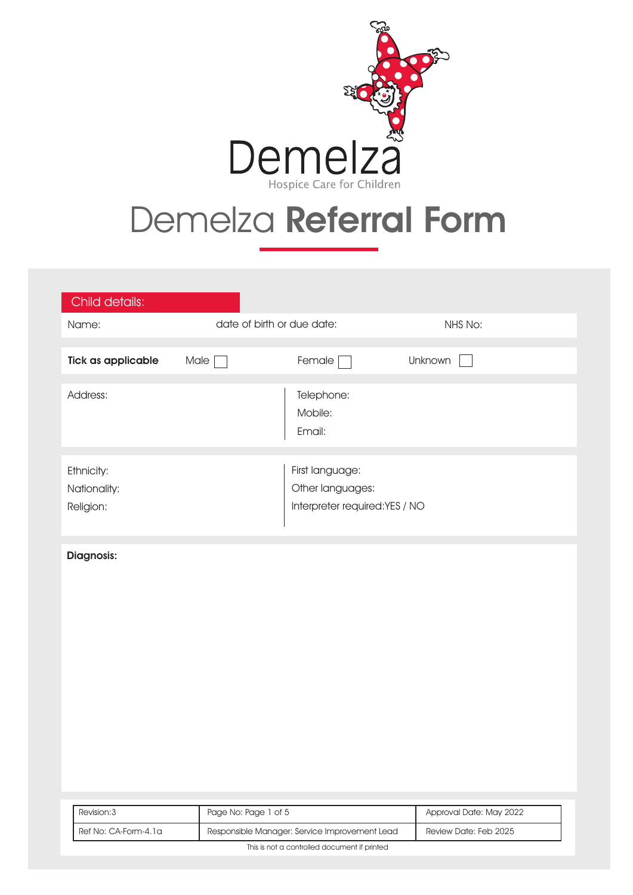

# Demelza Referral Form

| Child details:                          |                            |                                                                      |                              |  |
|-----------------------------------------|----------------------------|----------------------------------------------------------------------|------------------------------|--|
| Name:                                   | date of birth or due date: |                                                                      | NHS No:                      |  |
| <b>Tick as applicable</b>               | Male $\Box$                | Female $\Box$                                                        | Unknown<br>$\vert \ \ \vert$ |  |
| Address:                                |                            | Telephone:<br>Mobile:<br>Email:                                      |                              |  |
| Ethnicity:<br>Nationality:<br>Religion: |                            | First language:<br>Other languages:<br>Interpreter required:YES / NO |                              |  |
| Diagnosis:                              |                            |                                                                      |                              |  |
|                                         |                            |                                                                      |                              |  |
|                                         |                            |                                                                      |                              |  |

| Revision: 3                                  | Page No: Page 1 of 5                          | Approval Date: May 2022 |
|----------------------------------------------|-----------------------------------------------|-------------------------|
| Ref No: CA-Form-4.1a                         | Responsible Manager: Service Improvement Lead | Review Date: Feb 2025   |
| This is not a controlled document if printed |                                               |                         |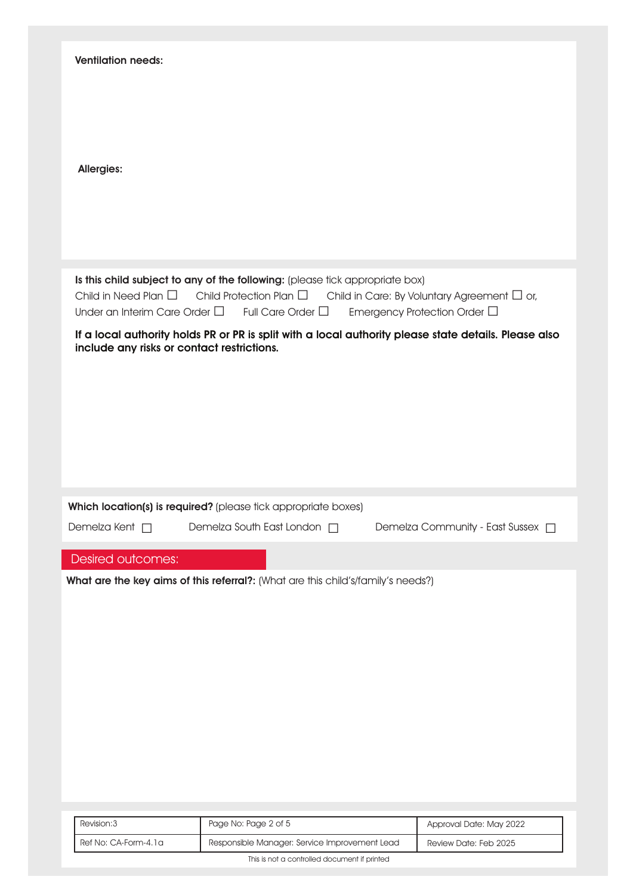| <b>Ventilation needs:</b>          |                                                                                                                                                                                                                 |                                                                                       |
|------------------------------------|-----------------------------------------------------------------------------------------------------------------------------------------------------------------------------------------------------------------|---------------------------------------------------------------------------------------|
| <b>Allergies:</b>                  |                                                                                                                                                                                                                 |                                                                                       |
|                                    | Is this child subject to any of the following: (please tick appropriate box)<br>Child in Need Plan $\square$ Child Protection Plan $\square$<br>Under an Interim Care Order $\square$ Full Care Order $\square$ | Child in Care: By Voluntary Agreement $\Box$ or,<br>Emergency Protection Order $\Box$ |
|                                    | If a local authority holds PR or PR is split with a local authority please state details. Please also<br>include any risks or contact restrictions.                                                             |                                                                                       |
|                                    |                                                                                                                                                                                                                 |                                                                                       |
| Demelza Kent $\Box$                | Which location(s) is required? (please tick appropriate boxes)<br>Demelza South East London □ Demelza Community - East Sussex □                                                                                 |                                                                                       |
| Desired outcomes:                  |                                                                                                                                                                                                                 |                                                                                       |
|                                    | What are the key aims of this referral?: (What are this child's/family's needs?)                                                                                                                                |                                                                                       |
|                                    |                                                                                                                                                                                                                 |                                                                                       |
| Revision:3<br>Ref No: CA-Form-4.1a | Page No: Page 2 of 5<br>Responsible Manager: Service Improvement Lead                                                                                                                                           | Approval Date: May 2022<br>Review Date: Feb 2025                                      |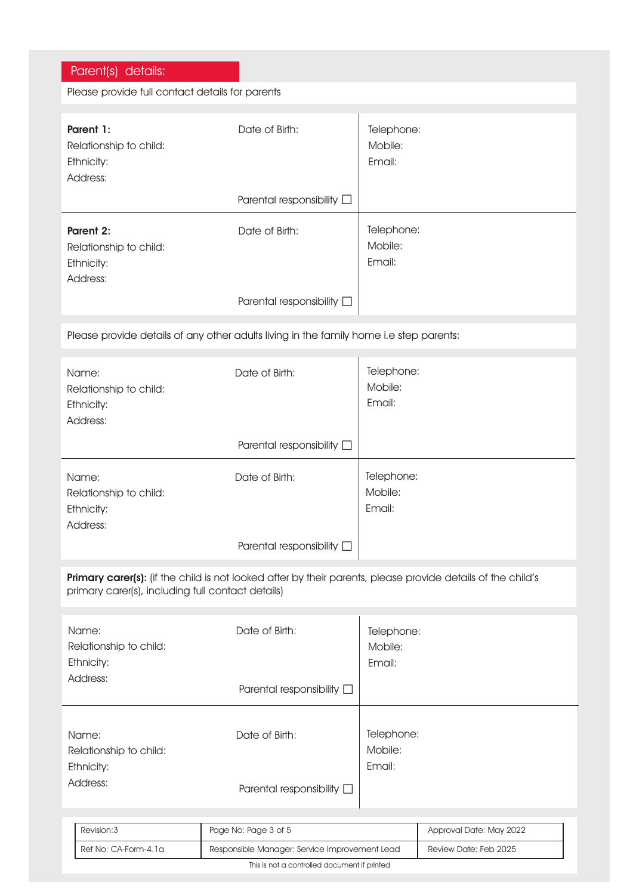| Parent(s) details:                                            |                                                                                                             |                                 |                         |
|---------------------------------------------------------------|-------------------------------------------------------------------------------------------------------------|---------------------------------|-------------------------|
| Please provide full contact details for parents               |                                                                                                             |                                 |                         |
|                                                               |                                                                                                             |                                 |                         |
| Parent 1:<br>Relationship to child:<br>Ethnicity:<br>Address: | Date of Birth:                                                                                              | Telephone:<br>Mobile:<br>Email: |                         |
|                                                               | Parental responsibility $\square$                                                                           |                                 |                         |
| Parent 2:<br>Relationship to child:<br>Ethnicity:<br>Address: | Date of Birth:                                                                                              | Telephone:<br>Mobile:<br>Email: |                         |
|                                                               | Parental responsibility $\square$                                                                           |                                 |                         |
|                                                               | Please provide details of any other adults living in the family home i.e step parents:                      |                                 |                         |
| Name:<br>Relationship to child:<br>Ethnicity:<br>Address:     | Date of Birth:                                                                                              | Telephone:<br>Mobile:<br>Email: |                         |
|                                                               | Parental responsibility $\square$                                                                           |                                 |                         |
| Name:<br>Relationship to child:<br>Ethnicity:<br>Address:     | Date of Birth:                                                                                              | Telephone:<br>Mobile:<br>Email: |                         |
|                                                               | Parental responsibility D                                                                                   |                                 |                         |
| primary carer(s), including full contact details)             | Primary carer(s): (if the child is not looked after by their parents, please provide details of the child's |                                 |                         |
| Name:<br>Relationship to child:<br>Ethnicity:                 | Date of Birth:                                                                                              | Telephone:<br>Mobile:<br>Email: |                         |
| Address:                                                      | Parental responsibility $\square$                                                                           |                                 |                         |
| Name:<br>Relationship to child:<br>Ethnicity:                 | Date of Birth:                                                                                              | Telephone:<br>Mobile:<br>Email: |                         |
| Address:                                                      | Parental responsibility $\square$                                                                           |                                 |                         |
|                                                               |                                                                                                             |                                 |                         |
| Revision: 3                                                   | Page No: Page 3 of 5                                                                                        |                                 | Approval Date: May 2022 |
| Ref No: CA-Form-4.1a                                          | Responsible Manager: Service Improvement Lead                                                               |                                 | Review Date: Feb 2025   |

This is not a controlled document if printed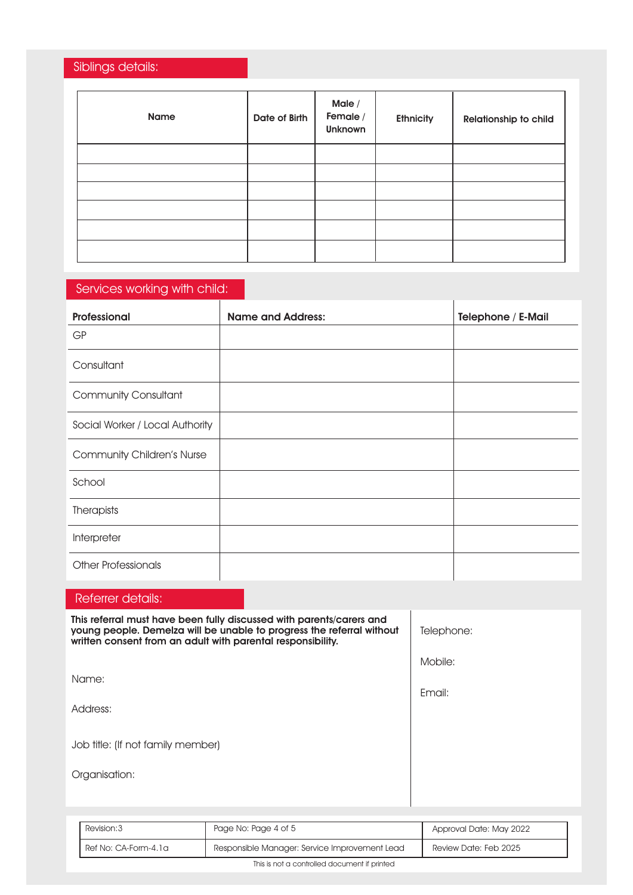## Siblings details:

| Name | Date of Birth | Male /<br>Female /<br><b>Unknown</b> | <b>Ethnicity</b> | Relationship to child |
|------|---------------|--------------------------------------|------------------|-----------------------|
|      |               |                                      |                  |                       |
|      |               |                                      |                  |                       |
|      |               |                                      |                  |                       |
|      |               |                                      |                  |                       |
|      |               |                                      |                  |                       |
|      |               |                                      |                  |                       |

## Services working with child:

| Professional                      | <b>Name and Address:</b> | <b>Telephone / E-Mail</b> |
|-----------------------------------|--------------------------|---------------------------|
| <b>GP</b>                         |                          |                           |
| Consultant                        |                          |                           |
| <b>Community Consultant</b>       |                          |                           |
| Social Worker / Local Authority   |                          |                           |
| <b>Community Children's Nurse</b> |                          |                           |
| School                            |                          |                           |
| Therapists                        |                          |                           |
| Interpreter                       |                          |                           |
| <b>Other Professionals</b>        |                          |                           |

### Referrer details:

| This referral must have been fully discussed with parents/carers and<br>young people. Demelza will be unable to progress the referral without<br>written consent from an adult with parental responsibility. | Telephone: |
|--------------------------------------------------------------------------------------------------------------------------------------------------------------------------------------------------------------|------------|
|                                                                                                                                                                                                              | Mobile:    |
| Name:                                                                                                                                                                                                        | Email:     |
| Address:                                                                                                                                                                                                     |            |
| Job title: (If not family member)                                                                                                                                                                            |            |
| Organisation:                                                                                                                                                                                                |            |
|                                                                                                                                                                                                              |            |

| Revision: 3                                  | Page No: Page 4 of 5                          | Approval Date: May 2022 |
|----------------------------------------------|-----------------------------------------------|-------------------------|
| Ref No: CA-Form-4.1a                         | Responsible Manager: Service Improvement Lead | Review Date: Feb 2025   |
| This is not a controlled document if printed |                                               |                         |